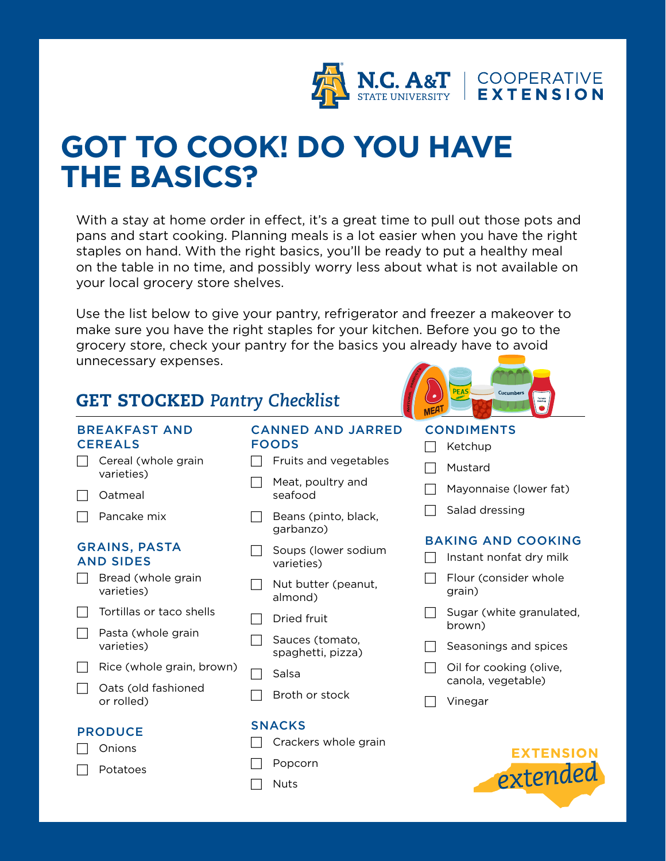

## **GOT TO COOK! DO YOU HAVE THE BASICS?**

With a stay at home order in effect, it's a great time to pull out those pots and pans and start cooking. Planning meals is a lot easier when you have the right staples on hand. With the right basics, you'll be ready to put a healthy meal on the table in no time, and possibly worry less about what is not available on your local grocery store shelves.

Use the list below to give your pantry, refrigerator and freezer a makeover to make sure you have the right staples for your kitchen. Before you go to the grocery store, check your pantry for the basics you already have to avoid unnecessary expenses.

### GET STOCKED *Pantry Checklist*

### BREAKFAST AND **CEREALS**

 $\Box$  Cereal (whole grain varieties)

 $\Box$  Oatmeal

 $\Box$  Pancake mix

### GRAINS, PASTA AND SIDES

- $\Box$  Bread (whole grain varieties)
- $\Box$  Tortillas or taco shells
- $\Box$  Pasta (whole grain varieties)
- $\Box$  Rice (whole grain, brown)
- $\Box$  Oats (old fashioned or rolled)

### PRODUCE

**Onions** 

Potatoes

### CANNED AND JARRED FOODS

- $\Box$  Fruits and vegetables
- $\Box$  Meat, poultry and seafood
- $\Box$  Beans (pinto, black, garbanzo)
- $\Box$  Soups (lower sodium varieties)
- $\Box$  Nut butter (peanut, almond)
- $\Box$  Dried fruit
- Sauces (tomato, spaghetti, pizza)
- Salsa
- $\Box$  Broth or stock

### SNACKS

- $\Box$  Crackers whole grain
- $\Box$  Popcorn
	- **Nuts**

# Cucumbe

### **CONDIMENTS**

- $\Box$  Ketchup
- $\Box$  Mustard
- $\Box$  Mayonnaise (lower fat)
- $\Box$  Salad dressing

### BAKING AND COOKING

- $\Box$  Instant nonfat dry milk
- $\Box$  Flour (consider whole grain)
- $\Box$  Sugar (white granulated, brown)
- $\Box$  Seasonings and spices
- $\Box$  Oil for cooking (olive, canola, vegetable)
- $\Box$  Vinegar